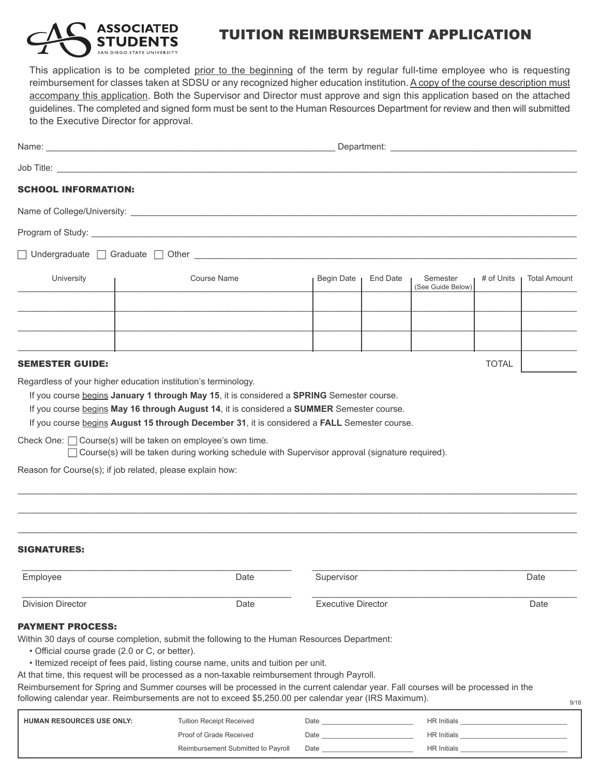

## TUITION REIMBURSEMENT APPLICATION

This application is to be completed prior to the beginning of the term by regular full-time employee who is requesting reimbursement for classes taken at SDSU or any recognized higher education institution. A copy of the course description must accompany this application. Both the Supervisor and Director must approve and sign this application based on the attached guidelines. The completed and signed form must be sent to the Human Resources Department for review and then will submitted to the Executive Director for approval.

| <b>SCHOOL INFORMATION:</b>                                                                                                     |                                                                                                                                                                                                                                                                                                                                                                                                                                                                                                                                 |                           |          |                               |              |                     |
|--------------------------------------------------------------------------------------------------------------------------------|---------------------------------------------------------------------------------------------------------------------------------------------------------------------------------------------------------------------------------------------------------------------------------------------------------------------------------------------------------------------------------------------------------------------------------------------------------------------------------------------------------------------------------|---------------------------|----------|-------------------------------|--------------|---------------------|
|                                                                                                                                |                                                                                                                                                                                                                                                                                                                                                                                                                                                                                                                                 |                           |          |                               |              |                     |
|                                                                                                                                |                                                                                                                                                                                                                                                                                                                                                                                                                                                                                                                                 |                           |          |                               |              |                     |
|                                                                                                                                |                                                                                                                                                                                                                                                                                                                                                                                                                                                                                                                                 |                           |          |                               |              |                     |
| University                                                                                                                     | <b>Course Name</b>                                                                                                                                                                                                                                                                                                                                                                                                                                                                                                              | Begin Date                | End Date | Semester<br>(See Guide Below) | # of Units   | <b>Total Amount</b> |
|                                                                                                                                |                                                                                                                                                                                                                                                                                                                                                                                                                                                                                                                                 |                           |          |                               |              |                     |
|                                                                                                                                |                                                                                                                                                                                                                                                                                                                                                                                                                                                                                                                                 |                           |          |                               |              |                     |
| <b>SEMESTER GUIDE:</b>                                                                                                         |                                                                                                                                                                                                                                                                                                                                                                                                                                                                                                                                 |                           |          |                               | <b>TOTAL</b> |                     |
| Check One: $\Box$ Course(s) will be taken on employee's own time.<br>Reason for Course(s); if job related, please explain how: | Course(s) will be taken during working schedule with Supervisor approval (signature required).                                                                                                                                                                                                                                                                                                                                                                                                                                  |                           |          |                               |              |                     |
| <b>SIGNATURES:</b>                                                                                                             |                                                                                                                                                                                                                                                                                                                                                                                                                                                                                                                                 |                           |          |                               |              |                     |
| Employee                                                                                                                       | Date                                                                                                                                                                                                                                                                                                                                                                                                                                                                                                                            | Supervisor                | Date     |                               |              |                     |
| <b>Division Director</b>                                                                                                       | Date                                                                                                                                                                                                                                                                                                                                                                                                                                                                                                                            | <b>Executive Director</b> |          |                               |              | Date                |
| <b>PAYMENT PROCESS:</b>                                                                                                        |                                                                                                                                                                                                                                                                                                                                                                                                                                                                                                                                 |                           |          |                               |              |                     |
| • Official course grade (2.0 or C, or better).                                                                                 | Within 30 days of course completion, submit the following to the Human Resources Department:<br>• Itemized receipt of fees paid, listing course name, units and tuition per unit.<br>At that time, this request will be processed as a non-taxable reimbursement through Payroll.<br>Reimbursement for Spring and Summer courses will be processed in the current calendar year. Fall courses will be processed in the<br>following calendar year. Reimbursements are not to exceed \$5,250.00 per calendar year (IRS Maximum). |                           |          |                               |              | 9/18                |
| HUMAN RESOURCES USE ONLY:                                                                                                      | <b>Tuition Receipt Received</b>                                                                                                                                                                                                                                                                                                                                                                                                                                                                                                 | Date                      |          |                               |              |                     |
|                                                                                                                                | Proof of Grade Received                                                                                                                                                                                                                                                                                                                                                                                                                                                                                                         |                           |          |                               |              |                     |
|                                                                                                                                | Reimbursement Submitted to Payroll                                                                                                                                                                                                                                                                                                                                                                                                                                                                                              |                           |          |                               |              |                     |